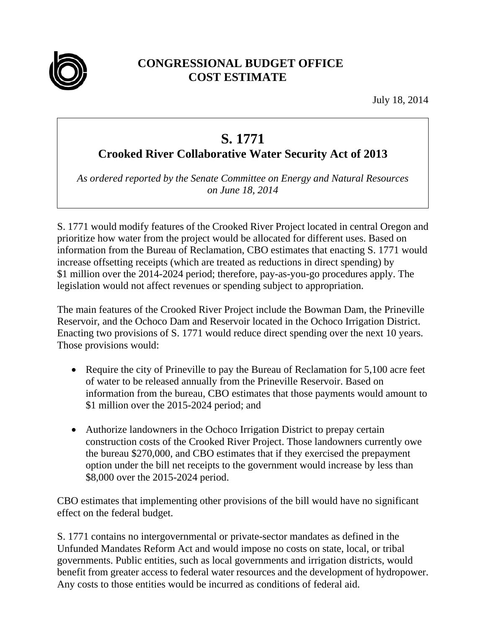

## **CONGRESSIONAL BUDGET OFFICE COST ESTIMATE**

July 18, 2014

## **S. 1771**

## **Crooked River Collaborative Water Security Act of 2013**

*As ordered reported by the Senate Committee on Energy and Natural Resources on June 18, 2014* 

S. 1771 would modify features of the Crooked River Project located in central Oregon and prioritize how water from the project would be allocated for different uses. Based on information from the Bureau of Reclamation, CBO estimates that enacting S. 1771 would increase offsetting receipts (which are treated as reductions in direct spending) by \$1 million over the 2014-2024 period; therefore, pay-as-you-go procedures apply. The legislation would not affect revenues or spending subject to appropriation.

The main features of the Crooked River Project include the Bowman Dam, the Prineville Reservoir, and the Ochoco Dam and Reservoir located in the Ochoco Irrigation District. Enacting two provisions of S. 1771 would reduce direct spending over the next 10 years. Those provisions would:

- Require the city of Prineville to pay the Bureau of Reclamation for 5,100 acre feet of water to be released annually from the Prineville Reservoir. Based on information from the bureau, CBO estimates that those payments would amount to \$1 million over the 2015-2024 period; and
- Authorize landowners in the Ochoco Irrigation District to prepay certain construction costs of the Crooked River Project. Those landowners currently owe the bureau \$270,000, and CBO estimates that if they exercised the prepayment option under the bill net receipts to the government would increase by less than \$8,000 over the 2015-2024 period.

CBO estimates that implementing other provisions of the bill would have no significant effect on the federal budget.

S. 1771 contains no intergovernmental or private-sector mandates as defined in the Unfunded Mandates Reform Act and would impose no costs on state, local, or tribal governments. Public entities, such as local governments and irrigation districts, would benefit from greater access to federal water resources and the development of hydropower. Any costs to those entities would be incurred as conditions of federal aid.